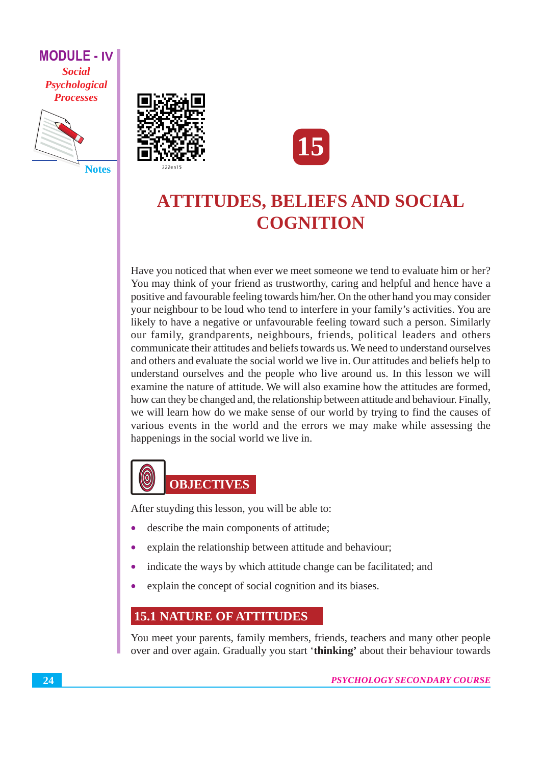

**Notes** 





# **ATTITUDES, BELIEFS AND SOCIAL COGNITION**

Have you noticed that when ever we meet someone we tend to evaluate him or her? You may think of your friend as trustworthy, caring and helpful and hence have a positive and favourable feeling towards him/her. On the other hand you may consider your neighbour to be loud who tend to interfere in your family's activities. You are likely to have a negative or unfavourable feeling toward such a person. Similarly our family, grandparents, neighbours, friends, political leaders and others communicate their attitudes and beliefs towards us. We need to understand ourselves and others and evaluate the social world we live in. Our attitudes and beliefs help to understand ourselves and the people who live around us. In this lesson we will examine the nature of attitude. We will also examine how the attitudes are formed, how can they be changed and, the relationship between attitude and behaviour. Finally, we will learn how do we make sense of our world by trying to find the causes of various events in the world and the errors we may make while assessing the happenings in the social world we live in.



After stuyding this lesson, you will be able to:

- describe the main components of attitude;
- explain the relationship between attitude and behaviour;
- indicate the ways by which attitude change can be facilitated; and  $\bullet$
- explain the concept of social cognition and its biases.  $\bullet$

# **15.1 NATURE OF ATTITUDES**

You meet your parents, family members, friends, teachers and many other people over and over again. Gradually you start 'thinking' about their behaviour towards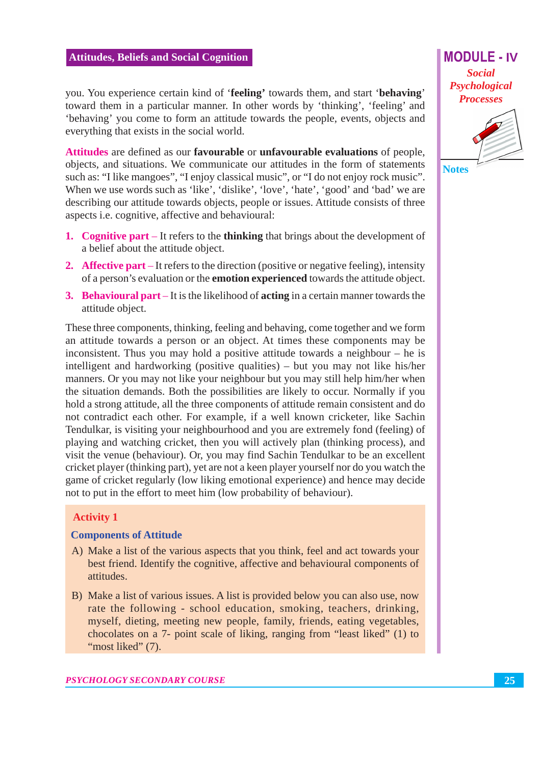you. You experience certain kind of 'feeling' towards them, and start 'behaving' toward them in a particular manner. In other words by 'thinking', 'feeling' and 'behaving' you come to form an attitude towards the people, events, objects and everything that exists in the social world.

Attitudes are defined as our favourable or unfavourable evaluations of people, objects, and situations. We communicate our attitudes in the form of statements such as: "I like mangoes", "I enjoy classical music", or "I do not enjoy rock music". When we use words such as 'like', 'dislike', 'love', 'hate', 'good' and 'bad' we are describing our attitude towards objects, people or issues. Attitude consists of three aspects *i.e.* cognitive, affective and behavioural:

- 1. Cognitive part  $-$  It refers to the thinking that brings about the development of a belief about the attitude object.
- 2. Affective part It refers to the direction (positive or negative feeling), intensity of a person's evaluation or the **emotion experienced** towards the attitude object.
- 3. Behavioural part  $-It$  is the likelihood of acting in a certain manner towards the attitude object.

These three components, thinking, feeling and behaving, come together and we form an attitude towards a person or an object. At times these components may be inconsistent. Thus you may hold a positive attitude towards a neighbour  $-$  he is intelligent and hardworking (positive qualities) – but you may not like his/her manners. Or you may not like your neighbour but you may still help him/her when the situation demands. Both the possibilities are likely to occur. Normally if you hold a strong attitude, all the three components of attitude remain consistent and do not contradict each other. For example, if a well known cricketer, like Sachin Tendulkar, is visiting your neighbourhood and you are extremely fond (feeling) of playing and watching cricket, then you will actively plan (thinking process), and visit the venue (behaviour). Or, you may find Sachin Tendulkar to be an excellent cricket player (thinking part), yet are not a keen player yourself nor do you watch the game of cricket regularly (low liking emotional experience) and hence may decide not to put in the effort to meet him (low probability of behaviour).

#### **Activity 1**

#### **Components of Attitude**

- A) Make a list of the various aspects that you think, feel and act towards your best friend. Identify the cognitive, affective and behavioural components of attitudes.
- B) Make a list of various issues. A list is provided below you can also use, now rate the following - school education, smoking, teachers, drinking, myself, dieting, meeting new people, family, friends, eating vegetables, chocolates on a 7- point scale of liking, ranging from "least liked" (1) to "most liked" (7).

**MODULE - IV Social** Psychological **Processes** 

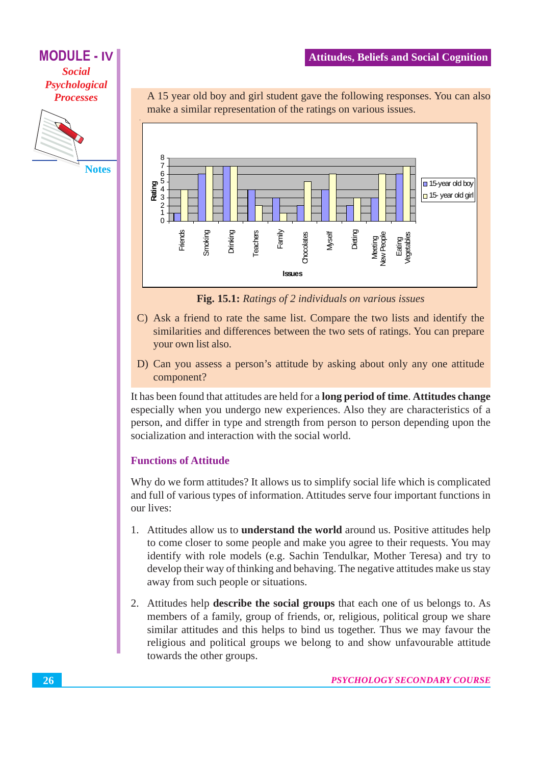**MODULE - IV Social** Psychological **Processes** 



A 15 year old boy and girl student gave the following responses. You can also make a similar representation of the ratings on various issues.



Fig. 15.1: Ratings of 2 individuals on various issues

- C) Ask a friend to rate the same list. Compare the two lists and identify the similarities and differences between the two sets of ratings. You can prepare vour own list also.
- D) Can you assess a person's attitude by asking about only any one attitude component?

It has been found that attitudes are held for a **long period of time. Attitudes change** especially when you undergo new experiences. Also they are characteristics of a person, and differ in type and strength from person to person depending upon the socialization and interaction with the social world.

#### **Functions of Attitude**

Why do we form attitudes? It allows us to simplify social life which is complicated and full of various types of information. Attitudes serve four important functions in our lives:

- 1. Attitudes allow us to **understand the world** around us. Positive attitudes help to come closer to some people and make you agree to their requests. You may identify with role models (e.g. Sachin Tendulkar, Mother Teresa) and try to develop their way of thinking and behaving. The negative attitudes make us stay away from such people or situations.
- 2. Attitudes help **describe the social groups** that each one of us belongs to. As members of a family, group of friends, or, religious, political group we share similar attitudes and this helps to bind us together. Thus we may favour the religious and political groups we belong to and show unfavourable attitude towards the other groups.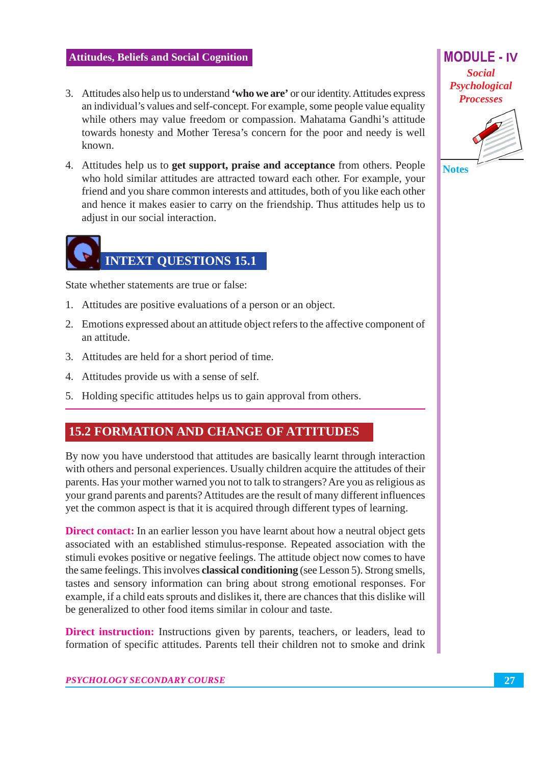- 3. Attitudes also help us to understand 'who we are' or our identity. Attitudes express an individual's values and self-concept. For example, some people value equality while others may value freedom or compassion. Mahatama Gandhi's attitude towards honesty and Mother Teresa's concern for the poor and needy is well known
- 4. Attitudes help us to **get support, praise and acceptance** from others. People who hold similar attitudes are attracted toward each other. For example, your friend and you share common interests and attitudes, both of you like each other and hence it makes easier to carry on the friendship. Thus attitudes help us to adjust in our social interaction.



State whether statements are true or false:

- 1. Attitudes are positive evaluations of a person or an object.
- 2. Emotions expressed about an attitude object refers to the affective component of an attitude.
- 3. Attitudes are held for a short period of time.
- 4. Attitudes provide us with a sense of self.
- 5. Holding specific attitudes helps us to gain approval from others.

# **15.2 FORMATION AND CHANGE OF ATTITUDES**

By now you have understood that attitudes are basically learnt through interaction with others and personal experiences. Usually children acquire the attitudes of their parents. Has your mother warned you not to talk to strangers? Are you as religious as your grand parents and parents? Attitudes are the result of many different influences yet the common aspect is that it is acquired through different types of learning.

**Direct contact:** In an earlier lesson you have learnt about how a neutral object gets associated with an established stimulus-response. Repeated association with the stimuli evokes positive or negative feelings. The attitude object now comes to have the same feelings. This involves **classical conditioning** (see Lesson 5). Strong smells, tastes and sensory information can bring about strong emotional responses. For example, if a child eats sprouts and dislikes it, there are chances that this dislike will be generalized to other food items similar in colour and taste.

**Direct instruction:** Instructions given by parents, teachers, or leaders, lead to formation of specific attitudes. Parents tell their children not to smoke and drink

**Social** Psychological **Processes** 

**MODULE - IV** 



**Notes**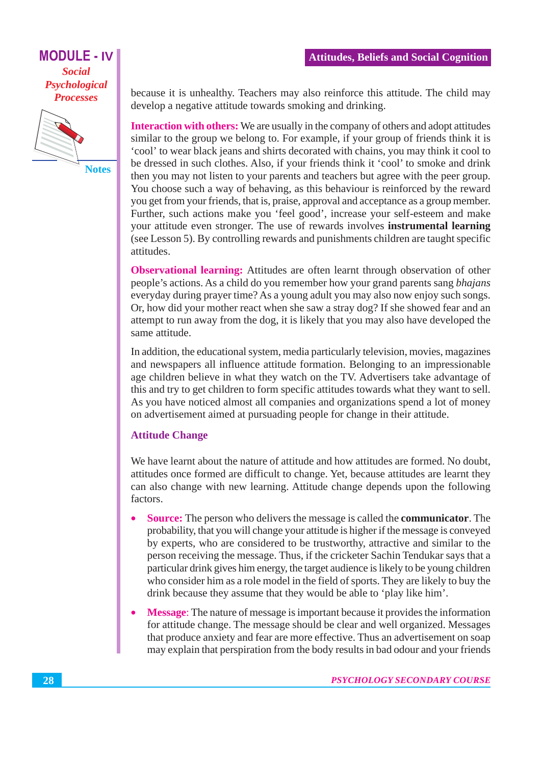

**Notes** 

because it is unhealthy. Teachers may also reinforce this attitude. The child may develop a negative attitude towards smoking and drinking.

**Interaction with others:** We are usually in the company of others and adopt attitudes similar to the group we belong to. For example, if your group of friends think it is 'cool' to wear black jeans and shirts decorated with chains, you may think it cool to be dressed in such clothes. Also, if your friends think it 'cool' to smoke and drink then you may not listen to your parents and teachers but agree with the peer group. You choose such a way of behaving, as this behaviour is reinforced by the reward you get from your friends, that is, praise, approval and acceptance as a group member. Further, such actions make you 'feel good', increase your self-esteem and make your attitude even stronger. The use of rewards involves **instrumental learning** (see Lesson 5). By controlling rewards and punishments children are taught specific attitudes.

**Observational learning:** Attitudes are often learnt through observation of other people's actions. As a child do you remember how your grand parents sang *bhajans* everyday during prayer time? As a young adult you may also now enjoy such songs. Or, how did your mother react when she saw a stray dog? If she showed fear and an attempt to run away from the dog, it is likely that you may also have developed the same attitude.

In addition, the educational system, media particularly television, movies, magazines and newspapers all influence attitude formation. Belonging to an impressionable age children believe in what they watch on the TV. Advertisers take advantage of this and try to get children to form specific attitudes towards what they want to sell. As you have noticed almost all companies and organizations spend a lot of money on advertisement aimed at pursuading people for change in their attitude.

#### **Attitude Change**

We have learnt about the nature of attitude and how attitudes are formed. No doubt, attitudes once formed are difficult to change. Yet, because attitudes are learnt they can also change with new learning. Attitude change depends upon the following factors.

- **Source:** The person who delivers the message is called the **communicator**. The probability, that you will change your attitude is higher if the message is conveyed by experts, who are considered to be trustworthy, attractive and similar to the person receiving the message. Thus, if the cricketer Sachin Tendukar says that a particular drink gives him energy, the target audience is likely to be young children who consider him as a role model in the field of sports. They are likely to buy the drink because they assume that they would be able to 'play like him'.
- **Message:** The nature of message is important because it provides the information for attitude change. The message should be clear and well organized. Messages that produce anxiety and fear are more effective. Thus an advertisement on soap may explain that perspiration from the body results in bad odour and your friends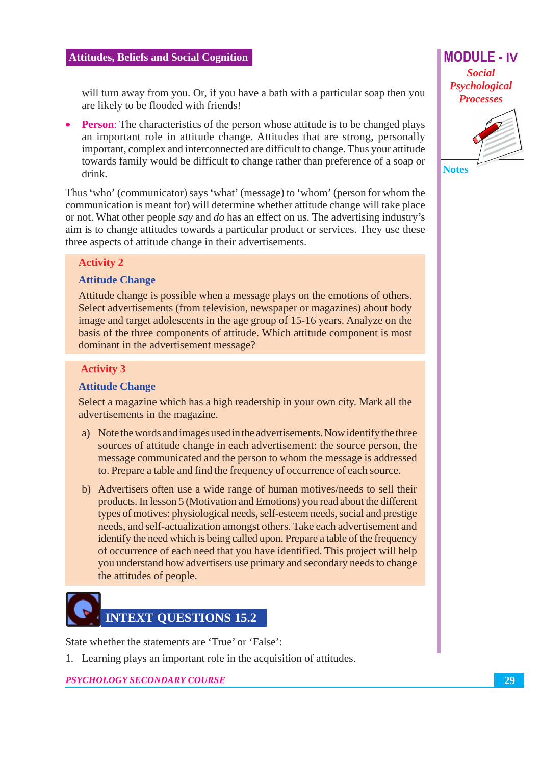will turn away from you. Or, if you have a bath with a particular soap then you are likely to be flooded with friends!

**Person:** The characteristics of the person whose attitude is to be changed plays an important role in attitude change. Attitudes that are strong, personally important, complex and interconnected are difficult to change. Thus your attitude towards family would be difficult to change rather than preference of a soap or drink.

Thus 'who' (communicator) says 'what' (message) to 'whom' (person for whom the communication is meant for) will determine whether attitude change will take place or not. What other people say and do has an effect on us. The advertising industry's aim is to change attitudes towards a particular product or services. They use these three aspects of attitude change in their advertisements.

# **Activity 2**

#### **Attitude Change**

Attitude change is possible when a message plays on the emotions of others. Select advertisements (from television, newspaper or magazines) about body image and target adolescents in the age group of 15-16 years. Analyze on the basis of the three components of attitude. Which attitude component is most dominant in the advertisement message?

## **Activity 3**

### **Attitude Change**

Select a magazine which has a high readership in your own city. Mark all the advertisements in the magazine.

- a) Note the words and images used in the advertisements. Now identify the three sources of attitude change in each advertisement: the source person, the message communicated and the person to whom the message is addressed to. Prepare a table and find the frequency of occurrence of each source.
- b) Advertisers often use a wide range of human motives/needs to sell their products. In lesson 5 (Motivation and Emotions) you read about the different types of motives: physiological needs, self-esteem needs, social and prestige needs, and self-actualization amongst others. Take each advertisement and identify the need which is being called upon. Prepare a table of the frequency of occurrence of each need that you have identified. This project will help you understand how advertisers use primary and secondary needs to change the attitudes of people.

# **NTEXT OUESTIONS 15.2**

State whether the statements are 'True' or 'False':

1. Learning plays an important role in the acquisition of attitudes.

**PSYCHOLOGY SECONDARY COURSE** 

# **MODULE - IV Social** Psychological **Processes**



**Notes**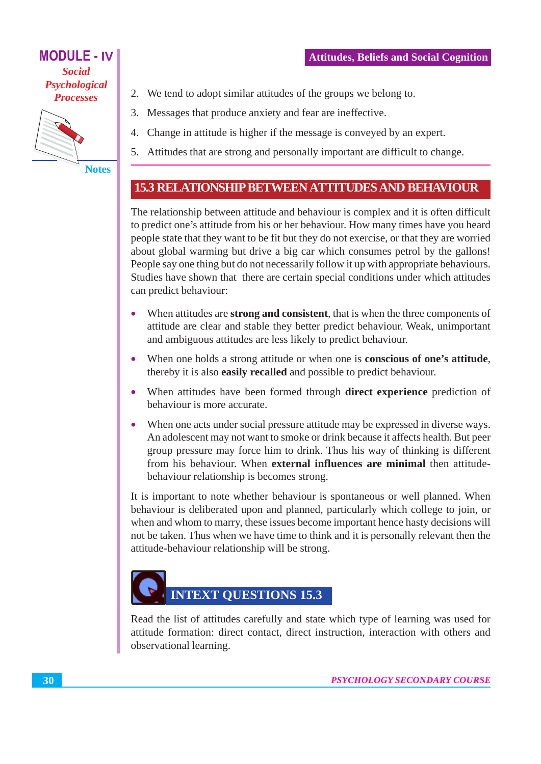**MODULE - IV Social** Psychological **Processes** 



**Notes** 

- 2. We tend to adopt similar attitudes of the groups we belong to.
- 3. Messages that produce anxiety and fear are ineffective.
- 4. Change in attitude is higher if the message is conveyed by an expert.
- 5. Attitudes that are strong and personally important are difficult to change.

# **15.3 RELATIONSHIP BETWEEN ATTITUDES AND BEHAVIOUR**

The relationship between attitude and behaviour is complex and it is often difficult to predict one's attitude from his or her behaviour. How many times have you heard people state that they want to be fit but they do not exercise, or that they are worried about global warming but drive a big car which consumes petrol by the gallons! People say one thing but do not necessarily follow it up with appropriate behaviours. Studies have shown that there are certain special conditions under which attitudes can predict behaviour:

- When attitudes are **strong and consistent**, that is when the three components of attitude are clear and stable they better predict behaviour. Weak, unimportant and ambiguous attitudes are less likely to predict behaviour.
- When one holds a strong attitude or when one is **conscious of one's attitude**,  $\bullet$ thereby it is also easily recalled and possible to predict behaviour.
- When attitudes have been formed through **direct experience** prediction of  $\bullet$ behaviour is more accurate.
- When one acts under social pressure attitude may be expressed in diverse ways.  $\bullet$ An adolescent may not want to smoke or drink because it affects health. But peer group pressure may force him to drink. Thus his way of thinking is different from his behaviour. When external influences are minimal then attitudebehaviour relationship is becomes strong.

It is important to note whether behaviour is spontaneous or well planned. When behaviour is deliberated upon and planned, particularly which college to join, or when and whom to marry, these issues become important hence hasty decisions will not be taken. Thus when we have time to think and it is personally relevant then the attitude-behaviour relationship will be strong.

# **INTEXT QUESTIONS 15.3**

Read the list of attitudes carefully and state which type of learning was used for attitude formation: direct contact, direct instruction, interaction with others and observational learning.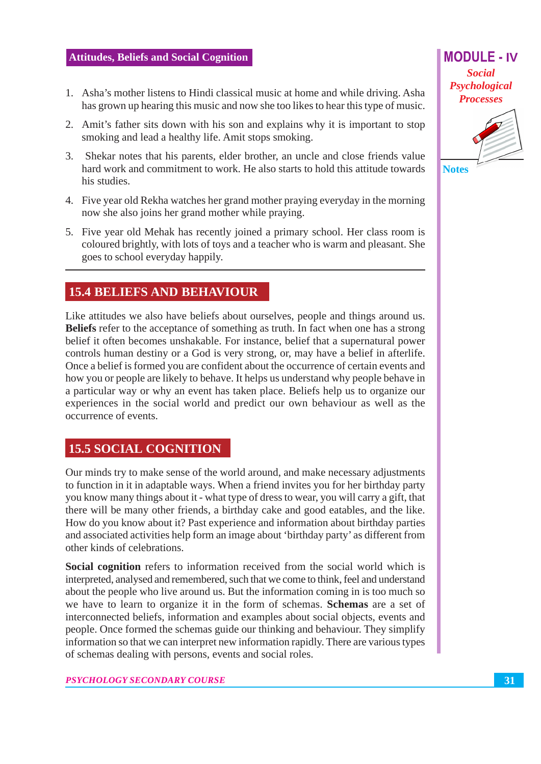- 1. Asha's mother listens to Hindi classical music at home and while driving. Asha has grown up hearing this music and now she too likes to hear this type of music.
- 2. Amit's father sits down with his son and explains why it is important to stop smoking and lead a healthy life. Amit stops smoking.
- 3. Shekar notes that his parents, elder brother, an uncle and close friends value hard work and commitment to work. He also starts to hold this attitude towards his studies.
- 4. Five year old Rekha watches her grand mother praying everyday in the morning now she also joins her grand mother while praying.
- 5. Five year old Mehak has recently joined a primary school. Her class room is coloured brightly, with lots of toys and a teacher who is warm and pleasant. She goes to school everyday happily.

# **15.4 BELIEFS AND BEHAVIOUR**

Like attitudes we also have beliefs about ourselves, people and things around us. Beliefs refer to the acceptance of something as truth. In fact when one has a strong belief it often becomes unshakable. For instance, belief that a supernatural power controls human destiny or a God is very strong, or, may have a belief in afterlife. Once a belief is formed you are confident about the occurrence of certain events and how you or people are likely to behave. It helps us understand why people behave in a particular way or why an event has taken place. Beliefs help us to organize our experiences in the social world and predict our own behaviour as well as the occurrence of events.

# **15.5 SOCIAL COGNITION**

Our minds try to make sense of the world around, and make necessary adjustments to function in it in adaptable ways. When a friend invites you for her birthday party you know many things about it - what type of dress to wear, you will carry a gift, that there will be many other friends, a birthday cake and good eatables, and the like. How do you know about it? Past experience and information about birthday parties and associated activities help form an image about 'birthday party' as different from other kinds of celebrations.

**Social cognition** refers to information received from the social world which is interpreted, analysed and remembered, such that we come to think, feel and understand about the people who live around us. But the information coming in is too much so we have to learn to organize it in the form of schemas. **Schemas** are a set of interconnected beliefs, information and examples about social objects, events and people. Once formed the schemas guide our thinking and behaviour. They simplify information so that we can interpret new information rapidly. There are various types of schemas dealing with persons, events and social roles.

# **Social** Psychological **Processes**

**MODULE - IV** 

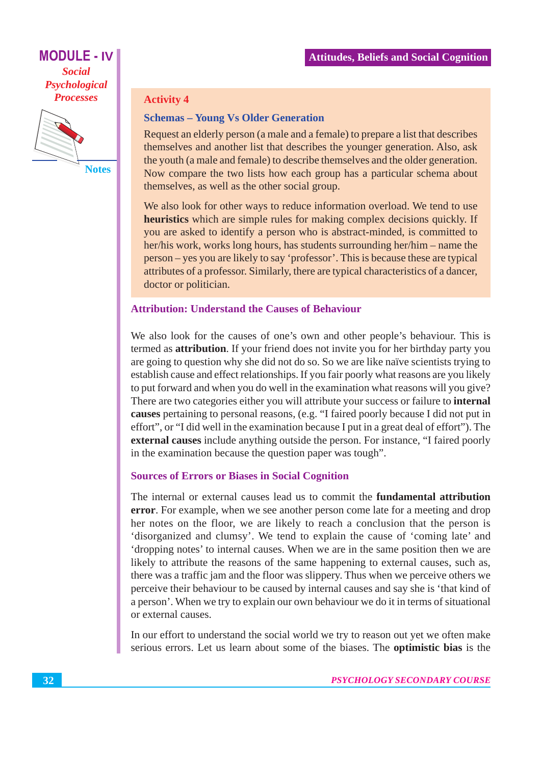

**Notes** 

#### **Activity 4**

#### **Schemas - Young Vs Older Generation**

Request an elderly person (a male and a female) to prepare a list that describes themselves and another list that describes the younger generation. Also, ask the youth (a male and female) to describe themselves and the older generation. Now compare the two lists how each group has a particular schema about themselves, as well as the other social group.

We also look for other ways to reduce information overload. We tend to use heuristics which are simple rules for making complex decisions quickly. If you are asked to identify a person who is abstract-minded, is committed to her/his work, works long hours, has students surrounding her/him – name the person – yes you are likely to say 'professor'. This is because these are typical attributes of a professor. Similarly, there are typical characteristics of a dancer, doctor or politician.

#### **Attribution: Understand the Causes of Behaviour**

We also look for the causes of one's own and other people's behaviour. This is termed as **attribution**. If your friend does not invite you for her birthday party you are going to question why she did not do so. So we are like naïve scientists trying to establish cause and effect relationships. If you fair poorly what reasons are you likely to put forward and when you do well in the examination what reasons will you give? There are two categories either you will attribute your success or failure to internal causes pertaining to personal reasons, (e.g. "I faired poorly because I did not put in effort", or "I did well in the examination because I put in a great deal of effort"). The external causes include anything outside the person. For instance, "I faired poorly in the examination because the question paper was tough".

#### **Sources of Errors or Biases in Social Cognition**

The internal or external causes lead us to commit the **fundamental attribution** error. For example, when we see another person come late for a meeting and drop her notes on the floor, we are likely to reach a conclusion that the person is 'disorganized and clumsy'. We tend to explain the cause of 'coming late' and 'dropping notes' to internal causes. When we are in the same position then we are likely to attribute the reasons of the same happening to external causes, such as, there was a traffic jam and the floor was slippery. Thus when we perceive others we perceive their behaviour to be caused by internal causes and say she is 'that kind of a person'. When we try to explain our own behaviour we do it in terms of situational or external causes.

In our effort to understand the social world we try to reason out yet we often make serious errors. Let us learn about some of the biases. The **optimistic bias** is the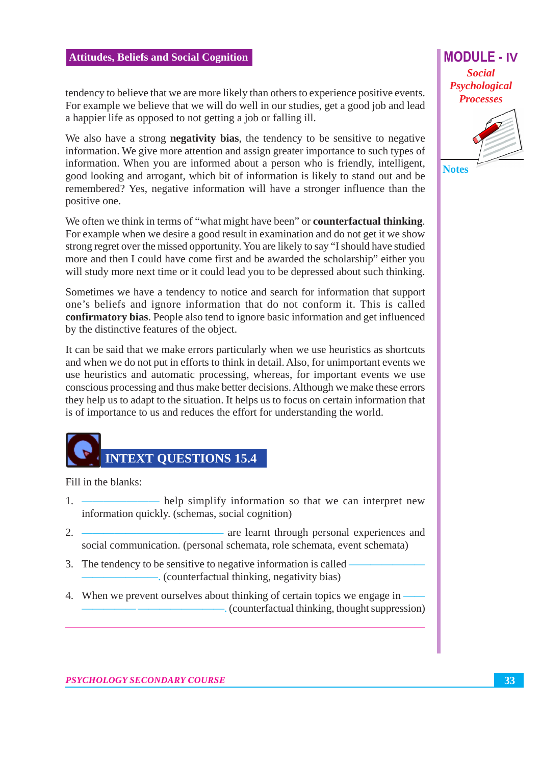**MODULE - IV Social** Psychological

**Processes** 



**Notes** 

tendency to believe that we are more likely than others to experience positive events. For example we believe that we will do well in our studies, get a good job and lead a happier life as opposed to not getting a job or falling ill.

We also have a strong **negativity bias**, the tendency to be sensitive to negative information. We give more attention and assign greater importance to such types of information. When you are informed about a person who is friendly, intelligent, good looking and arrogant, which bit of information is likely to stand out and be remembered? Yes, negative information will have a stronger influence than the positive one.

We often we think in terms of "what might have been" or **counterfactual thinking**. For example when we desire a good result in examination and do not get it we show strong regret over the missed opportunity. You are likely to say "I should have studied more and then I could have come first and be awarded the scholarship" either you will study more next time or it could lead you to be depressed about such thinking.

Sometimes we have a tendency to notice and search for information that support one's beliefs and ignore information that do not conform it. This is called confirmatory bias. People also tend to ignore basic information and get influenced by the distinctive features of the object.

It can be said that we make errors particularly when we use heuristics as shortcuts and when we do not put in efforts to think in detail. Also, for unimportant events we use heuristics and automatic processing, whereas, for important events we use conscious processing and thus make better decisions. Although we make these errors they help us to adapt to the situation. It helps us to focus on certain information that is of importance to us and reduces the effort for understanding the world.



Fill in the blanks:

- help simplify information so that we can interpret new 1. information quickly. (schemas, social cognition)
- $2<sub>1</sub>$ - are learnt through personal experiences and social communication. (personal schemata, role schemata, event schemata)
- 3. The tendency to be sensitive to negative information is called
- 4. When we prevent ourselves about thinking of certain topics we engage in - (counterfactual thinking, thought suppression)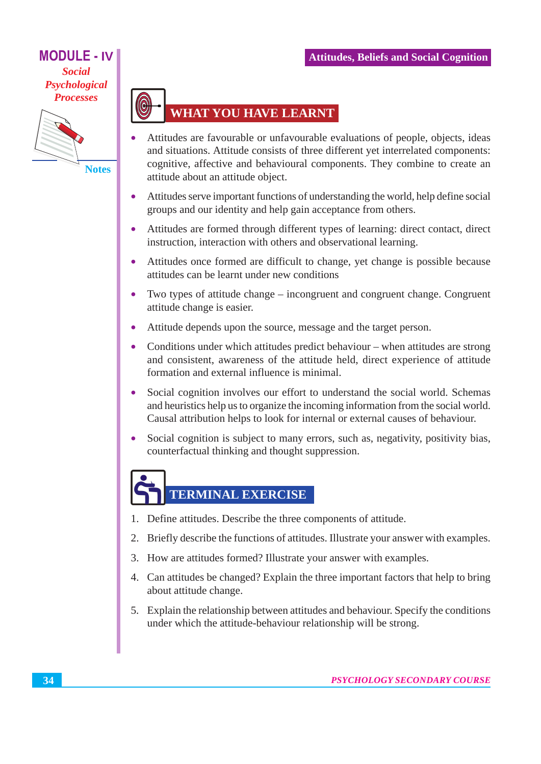

**Notes** 



- Attitudes are favourable or unfavourable evaluations of people, objects, ideas and situations. Attitude consists of three different yet interrelated components: cognitive, affective and behavioural components. They combine to create an attitude about an attitude object.
- Attitudes serve important functions of understanding the world, help define social groups and our identity and help gain acceptance from others.
- Attitudes are formed through different types of learning: direct contact, direct  $\bullet$ instruction, interaction with others and observational learning.
- Attitudes once formed are difficult to change, yet change is possible because  $\bullet$ attitudes can be learnt under new conditions
- Two types of attitude change incongruent and congruent change. Congruent  $\bullet$ attitude change is easier.
- Attitude depends upon the source, message and the target person.  $\bullet$
- Conditions under which attitudes predict behaviour when attitudes are strong  $\bullet$ and consistent, awareness of the attitude held, direct experience of attitude formation and external influence is minimal.
- Social cognition involves our effort to understand the social world. Schemas  $\bullet$ and heuristics help us to organize the incoming information from the social world. Causal attribution helps to look for internal or external causes of behaviour.
- Social cognition is subject to many errors, such as, negativity, positivity bias,  $\bullet$ counterfactual thinking and thought suppression.

# TERMINAL EXERCISE

- 1. Define attitudes. Describe the three components of attitude.
- 2. Briefly describe the functions of attitudes. Illustrate your answer with examples.
- 3. How are attitudes formed? Illustrate your answer with examples.
- 4. Can attitudes be changed? Explain the three important factors that help to bring about attitude change.
- 5. Explain the relationship between attitudes and behaviour. Specify the conditions under which the attitude-behaviour relationship will be strong.